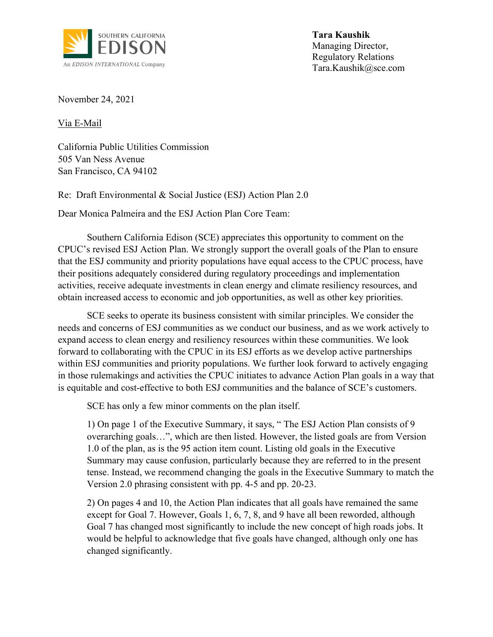

**Tara Kaushik** Managing Director, Regulatory Relations Tara.Kaushik@sce.com

November 24, 2021

Via E-Mail

California Public Utilities Commission 505 Van Ness Avenue San Francisco, CA 94102

Re: Draft Environmental & Social Justice (ESJ) Action Plan 2.0

Dear Monica Palmeira and the ESJ Action Plan Core Team:

Southern California Edison (SCE) appreciates this opportunity to comment on the CPUC's revised ESJ Action Plan. We strongly support the overall goals of the Plan to ensure that the ESJ community and priority populations have equal access to the CPUC process, have their positions adequately considered during regulatory proceedings and implementation activities, receive adequate investments in clean energy and climate resiliency resources, and obtain increased access to economic and job opportunities, as well as other key priorities.

SCE seeks to operate its business consistent with similar principles. We consider the needs and concerns of ESJ communities as we conduct our business, and as we work actively to expand access to clean energy and resiliency resources within these communities. We look forward to collaborating with the CPUC in its ESJ efforts as we develop active partnerships within ESJ communities and priority populations. We further look forward to actively engaging in those rulemakings and activities the CPUC initiates to advance Action Plan goals in a way that is equitable and cost-effective to both ESJ communities and the balance of SCE's customers.

SCE has only a few minor comments on the plan itself.

1) On page 1 of the Executive Summary, it says, " The ESJ Action Plan consists of 9 overarching goals…", which are then listed. However, the listed goals are from Version 1.0 of the plan, as is the 95 action item count. Listing old goals in the Executive Summary may cause confusion, particularly because they are referred to in the present tense. Instead, we recommend changing the goals in the Executive Summary to match the Version 2.0 phrasing consistent with pp. 4-5 and pp. 20-23.

2) On pages 4 and 10, the Action Plan indicates that all goals have remained the same except for Goal 7. However, Goals 1, 6, 7, 8, and 9 have all been reworded, although Goal 7 has changed most significantly to include the new concept of high roads jobs. It would be helpful to acknowledge that five goals have changed, although only one has changed significantly.